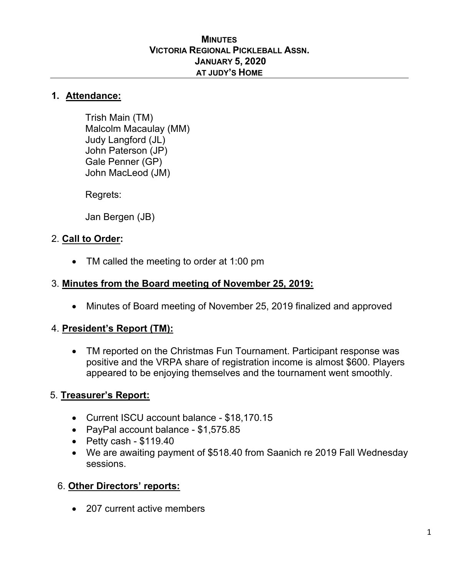#### **MINUTES VICTORIA REGIONAL PICKLEBALL ASSN. JANUARY 5, 2020 AT JUDY'S HOME**

### **1. Attendance:**

Trish Main (TM) Malcolm Macaulay (MM) Judy Langford (JL) John Paterson (JP) Gale Penner (GP) John MacLeod (JM)

Regrets:

Jan Bergen (JB)

# 2. **Call to Order:**

• TM called the meeting to order at 1:00 pm

## 3. **Minutes from the Board meeting of November 25, 2019:**

• Minutes of Board meeting of November 25, 2019 finalized and approved

#### 4. **President's Report (TM):**

• TM reported on the Christmas Fun Tournament. Participant response was positive and the VRPA share of registration income is almost \$600. Players appeared to be enjoying themselves and the tournament went smoothly.

# 5. **Treasurer's Report:**

- Current ISCU account balance \$18,170.15
- PayPal account balance \$1,575.85
- $\bullet$  Petty cash \$119.40
- We are awaiting payment of \$518.40 from Saanich re 2019 Fall Wednesday sessions.

#### 6. **Other Directors' reports:**

• 207 current active members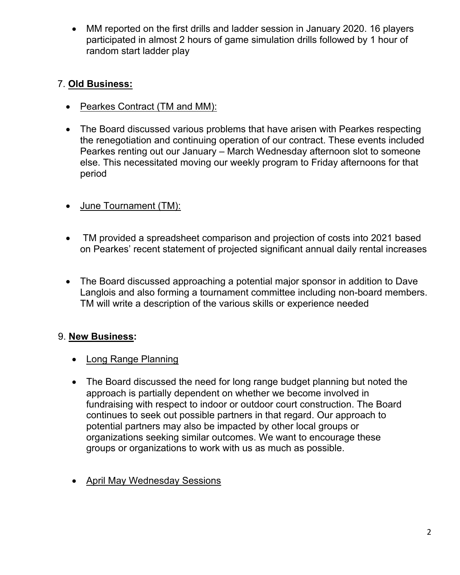• MM reported on the first drills and ladder session in January 2020. 16 players participated in almost 2 hours of game simulation drills followed by 1 hour of random start ladder play

# 7. **Old Business:**

- Pearkes Contract (TM and MM):
- The Board discussed various problems that have arisen with Pearkes respecting the renegotiation and continuing operation of our contract. These events included Pearkes renting out our January – March Wednesday afternoon slot to someone else. This necessitated moving our weekly program to Friday afternoons for that period
- June Tournament (TM):
- TM provided a spreadsheet comparison and projection of costs into 2021 based on Pearkes' recent statement of projected significant annual daily rental increases
- The Board discussed approaching a potential major sponsor in addition to Dave Langlois and also forming a tournament committee including non-board members. TM will write a description of the various skills or experience needed

# 9. **New Business:**

- Long Range Planning
- The Board discussed the need for long range budget planning but noted the approach is partially dependent on whether we become involved in fundraising with respect to indoor or outdoor court construction. The Board continues to seek out possible partners in that regard. Our approach to potential partners may also be impacted by other local groups or organizations seeking similar outcomes. We want to encourage these groups or organizations to work with us as much as possible.
- April May Wednesday Sessions